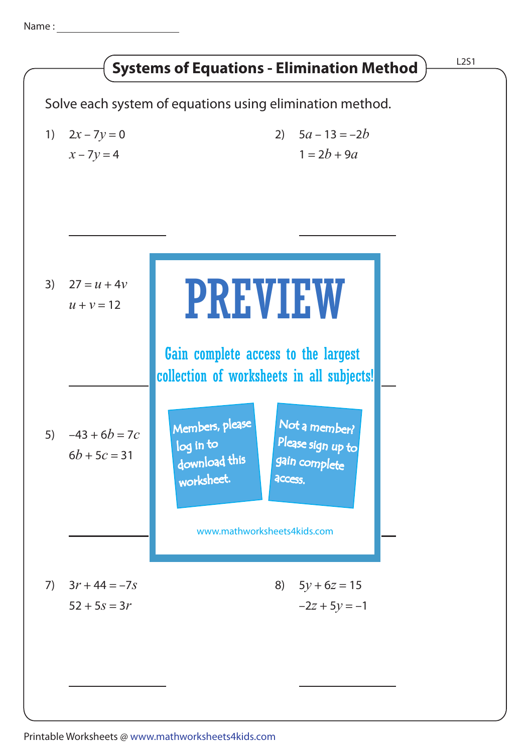Name :